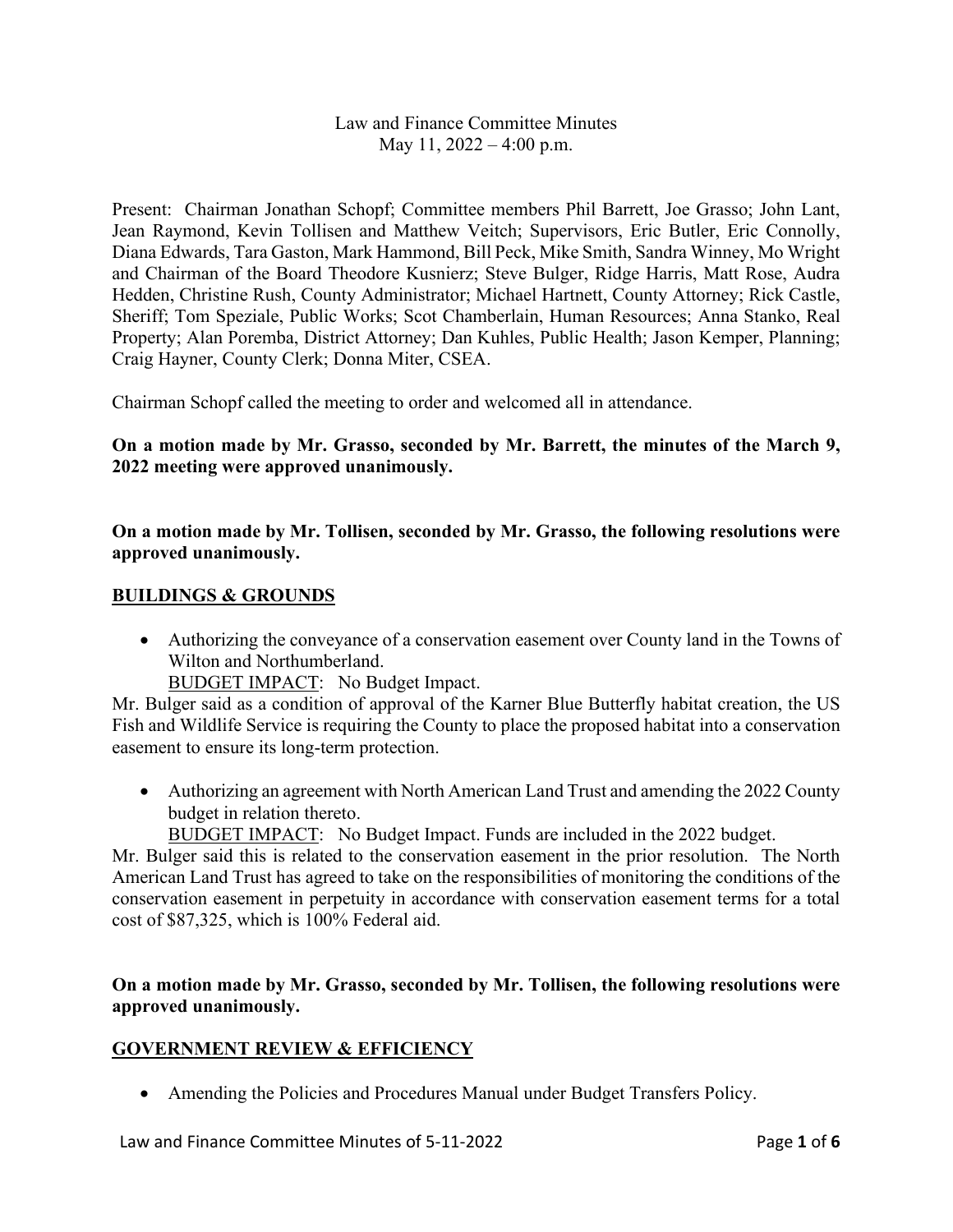Law and Finance Committee Minutes May 11, 2022 – 4:00 p.m.

Present: Chairman Jonathan Schopf; Committee members Phil Barrett, Joe Grasso; John Lant, Jean Raymond, Kevin Tollisen and Matthew Veitch; Supervisors, Eric Butler, Eric Connolly, Diana Edwards, Tara Gaston, Mark Hammond, Bill Peck, Mike Smith, Sandra Winney, Mo Wright and Chairman of the Board Theodore Kusnierz; Steve Bulger, Ridge Harris, Matt Rose, Audra Hedden, Christine Rush, County Administrator; Michael Hartnett, County Attorney; Rick Castle, Sheriff; Tom Speziale, Public Works; Scot Chamberlain, Human Resources; Anna Stanko, Real Property; Alan Poremba, District Attorney; Dan Kuhles, Public Health; Jason Kemper, Planning; Craig Hayner, County Clerk; Donna Miter, CSEA.

Chairman Schopf called the meeting to order and welcomed all in attendance.

### **On a motion made by Mr. Grasso, seconded by Mr. Barrett, the minutes of the March 9, 2022 meeting were approved unanimously.**

**On a motion made by Mr. Tollisen, seconded by Mr. Grasso, the following resolutions were approved unanimously.**

#### **BUILDINGS & GROUNDS**

• Authorizing the conveyance of a conservation easement over County land in the Towns of Wilton and Northumberland.

BUDGET IMPACT: No Budget Impact.

Mr. Bulger said as a condition of approval of the Karner Blue Butterfly habitat creation, the US Fish and Wildlife Service is requiring the County to place the proposed habitat into a conservation easement to ensure its long-term protection.

• Authorizing an agreement with North American Land Trust and amending the 2022 County budget in relation thereto.

BUDGET IMPACT: No Budget Impact. Funds are included in the 2022 budget.

Mr. Bulger said this is related to the conservation easement in the prior resolution. The North American Land Trust has agreed to take on the responsibilities of monitoring the conditions of the conservation easement in perpetuity in accordance with conservation easement terms for a total cost of \$87,325, which is 100% Federal aid.

### **On a motion made by Mr. Grasso, seconded by Mr. Tollisen, the following resolutions were approved unanimously.**

#### **GOVERNMENT REVIEW & EFFICIENCY**

• Amending the Policies and Procedures Manual under Budget Transfers Policy.

Law and Finance Committee Minutes of 5-11-2022 Page **1** of **6**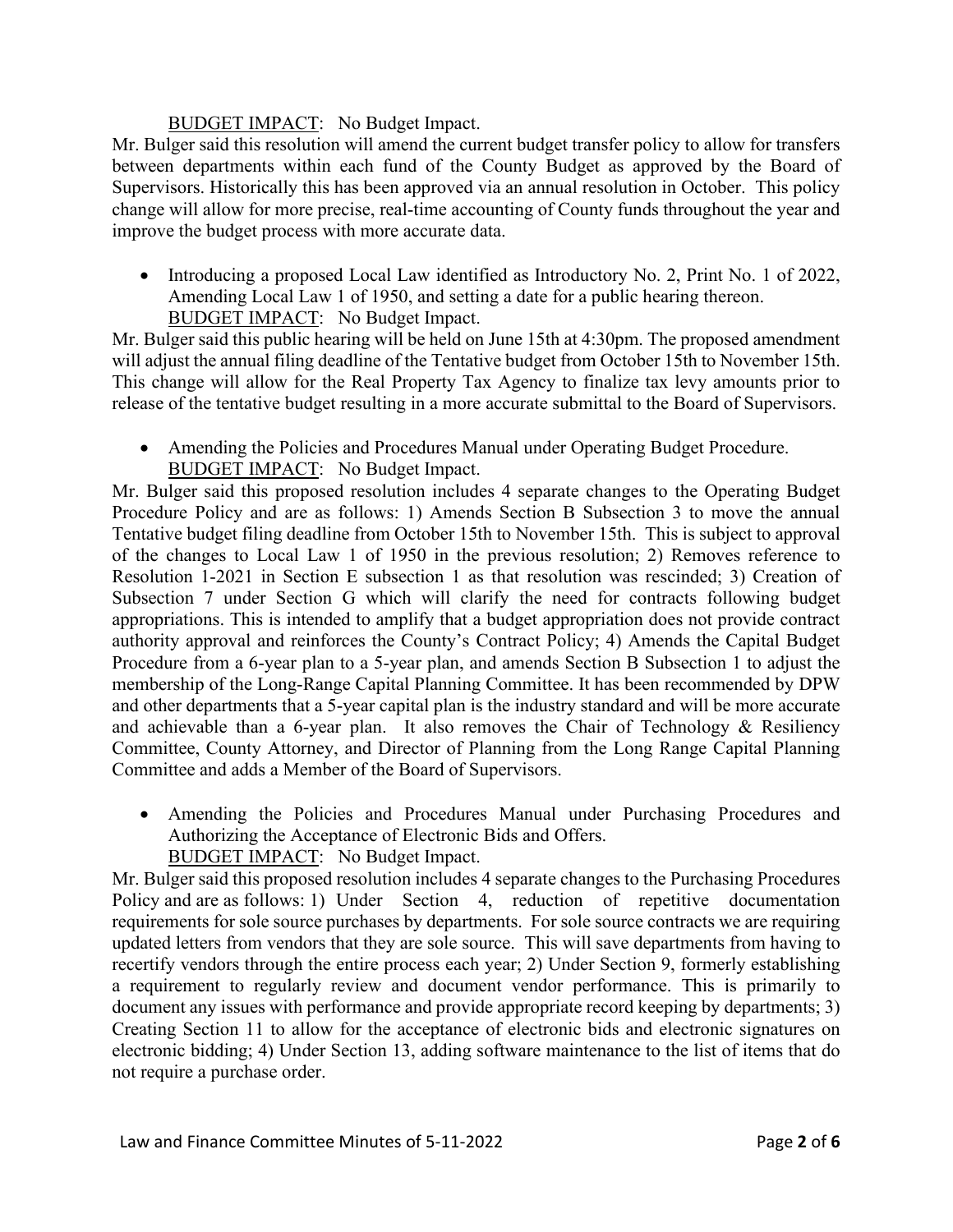### BUDGET IMPACT: No Budget Impact.

Mr. Bulger said this resolution will amend the current budget transfer policy to allow for transfers between departments within each fund of the County Budget as approved by the Board of Supervisors. Historically this has been approved via an annual resolution in October. This policy change will allow for more precise, real-time accounting of County funds throughout the year and improve the budget process with more accurate data.

• Introducing a proposed Local Law identified as Introductory No. 2, Print No. 1 of 2022, Amending Local Law 1 of 1950, and setting a date for a public hearing thereon. BUDGET IMPACT: No Budget Impact.

Mr. Bulger said this public hearing will be held on June 15th at 4:30pm. The proposed amendment will adjust the annual filing deadline of the Tentative budget from October 15th to November 15th. This change will allow for the Real Property Tax Agency to finalize tax levy amounts prior to release of the tentative budget resulting in a more accurate submittal to the Board of Supervisors.

• Amending the Policies and Procedures Manual under Operating Budget Procedure. **BUDGET IMPACT:** No Budget Impact.

Mr. Bulger said this proposed resolution includes 4 separate changes to the Operating Budget Procedure Policy and are as follows: 1) Amends Section B Subsection 3 to move the annual Tentative budget filing deadline from October 15th to November 15th. This is subject to approval of the changes to Local Law 1 of 1950 in the previous resolution; 2) Removes reference to Resolution 1-2021 in Section E subsection 1 as that resolution was rescinded; 3) Creation of Subsection 7 under Section G which will clarify the need for contracts following budget appropriations. This is intended to amplify that a budget appropriation does not provide contract authority approval and reinforces the County's Contract Policy; 4) Amends the Capital Budget Procedure from a 6-year plan to a 5-year plan, and amends Section B Subsection 1 to adjust the membership of the Long-Range Capital Planning Committee. It has been recommended by DPW and other departments that a 5-year capital plan is the industry standard and will be more accurate and achievable than a 6-year plan. It also removes the Chair of Technology  $\&$  Resiliency Committee, County Attorney, and Director of Planning from the Long Range Capital Planning Committee and adds a Member of the Board of Supervisors.

• Amending the Policies and Procedures Manual under Purchasing Procedures and Authorizing the Acceptance of Electronic Bids and Offers. BUDGET IMPACT: No Budget Impact.

Mr. Bulger said this proposed resolution includes 4 separate changes to the Purchasing Procedures Policy and are as follows: 1) Under Section 4, reduction of repetitive documentation requirements for sole source purchases by departments. For sole source contracts we are requiring updated letters from vendors that they are sole source. This will save departments from having to recertify vendors through the entire process each year; 2) Under Section 9, formerly establishing a requirement to regularly review and document vendor performance. This is primarily to document any issues with performance and provide appropriate record keeping by departments; 3) Creating Section 11 to allow for the acceptance of electronic bids and electronic signatures on electronic bidding; 4) Under Section 13, adding software maintenance to the list of items that do not require a purchase order.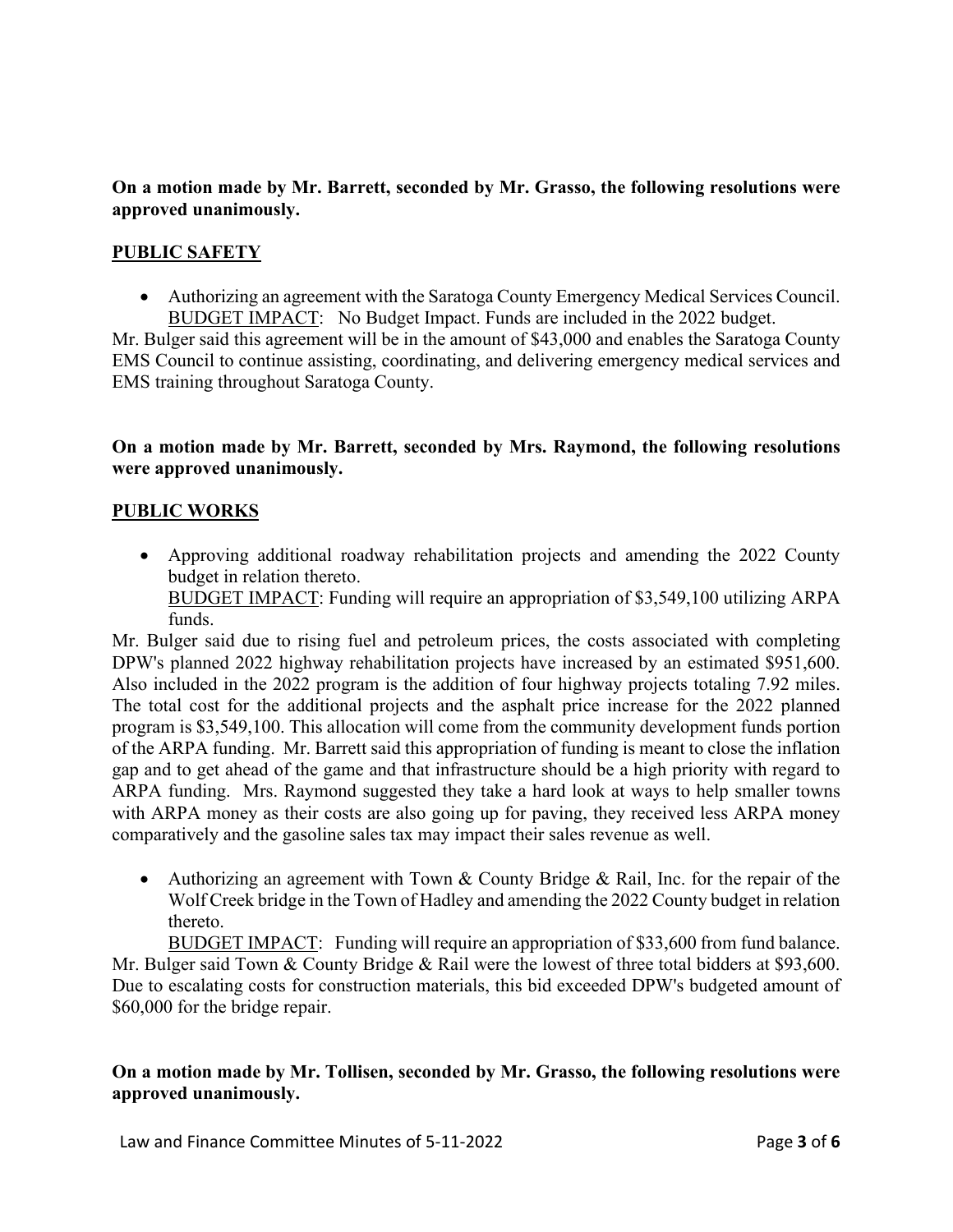#### **On a motion made by Mr. Barrett, seconded by Mr. Grasso, the following resolutions were approved unanimously.**

### **PUBLIC SAFETY**

• Authorizing an agreement with the Saratoga County Emergency Medical Services Council. BUDGET IMPACT: No Budget Impact. Funds are included in the 2022 budget.

Mr. Bulger said this agreement will be in the amount of \$43,000 and enables the Saratoga County EMS Council to continue assisting, coordinating, and delivering emergency medical services and EMS training throughout Saratoga County.

#### **On a motion made by Mr. Barrett, seconded by Mrs. Raymond, the following resolutions were approved unanimously.**

#### **PUBLIC WORKS**

• Approving additional roadway rehabilitation projects and amending the 2022 County budget in relation thereto.

BUDGET IMPACT: Funding will require an appropriation of \$3,549,100 utilizing ARPA funds.

Mr. Bulger said due to rising fuel and petroleum prices, the costs associated with completing DPW's planned 2022 highway rehabilitation projects have increased by an estimated \$951,600. Also included in the 2022 program is the addition of four highway projects totaling 7.92 miles. The total cost for the additional projects and the asphalt price increase for the 2022 planned program is \$3,549,100. This allocation will come from the community development funds portion of the ARPA funding. Mr. Barrett said this appropriation of funding is meant to close the inflation gap and to get ahead of the game and that infrastructure should be a high priority with regard to ARPA funding. Mrs. Raymond suggested they take a hard look at ways to help smaller towns with ARPA money as their costs are also going up for paving, they received less ARPA money comparatively and the gasoline sales tax may impact their sales revenue as well.

• Authorizing an agreement with Town & County Bridge & Rail, Inc. for the repair of the Wolf Creek bridge in the Town of Hadley and amending the 2022 County budget in relation thereto.

BUDGET IMPACT: Funding will require an appropriation of \$33,600 from fund balance. Mr. Bulger said Town & County Bridge & Rail were the lowest of three total bidders at \$93,600. Due to escalating costs for construction materials, this bid exceeded DPW's budgeted amount of \$60,000 for the bridge repair.

#### **On a motion made by Mr. Tollisen, seconded by Mr. Grasso, the following resolutions were approved unanimously.**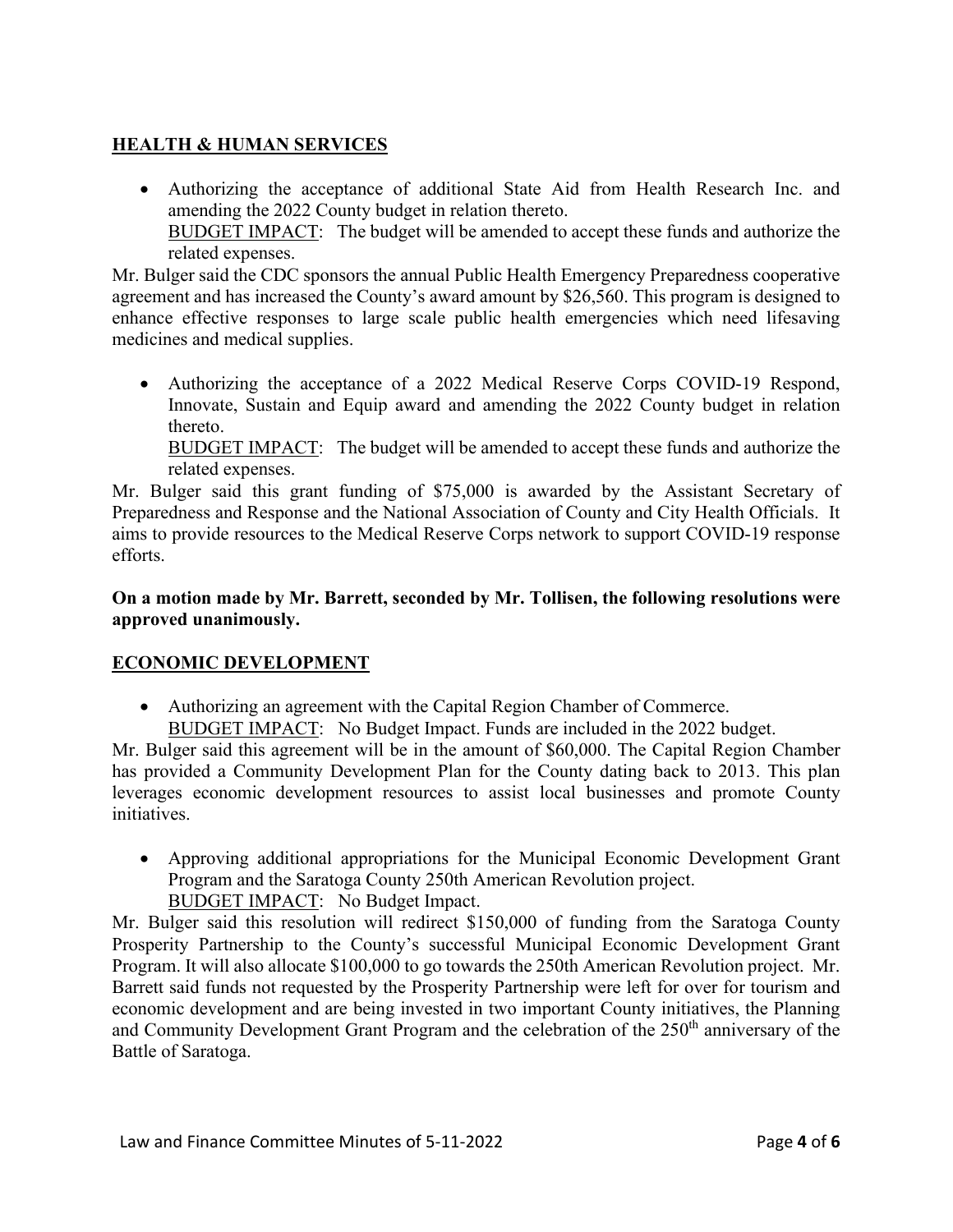# **HEALTH & HUMAN SERVICES**

• Authorizing the acceptance of additional State Aid from Health Research Inc. and amending the 2022 County budget in relation thereto. BUDGET IMPACT: The budget will be amended to accept these funds and authorize the related expenses.

Mr. Bulger said the CDC sponsors the annual Public Health Emergency Preparedness cooperative agreement and has increased the County's award amount by \$26,560. This program is designed to enhance effective responses to large scale public health emergencies which need lifesaving medicines and medical supplies.

• Authorizing the acceptance of a 2022 Medical Reserve Corps COVID-19 Respond, Innovate, Sustain and Equip award and amending the 2022 County budget in relation thereto.

BUDGET IMPACT: The budget will be amended to accept these funds and authorize the related expenses.

Mr. Bulger said this grant funding of \$75,000 is awarded by the Assistant Secretary of Preparedness and Response and the National Association of County and City Health Officials. It aims to provide resources to the Medical Reserve Corps network to support COVID-19 response efforts.

### **On a motion made by Mr. Barrett, seconded by Mr. Tollisen, the following resolutions were approved unanimously.**

## **ECONOMIC DEVELOPMENT**

- Authorizing an agreement with the Capital Region Chamber of Commerce.
	- BUDGET IMPACT: No Budget Impact. Funds are included in the 2022 budget.

Mr. Bulger said this agreement will be in the amount of \$60,000. The Capital Region Chamber has provided a Community Development Plan for the County dating back to 2013. This plan leverages economic development resources to assist local businesses and promote County initiatives.

- Approving additional appropriations for the Municipal Economic Development Grant Program and the Saratoga County 250th American Revolution project.
	- BUDGET IMPACT: No Budget Impact.

Mr. Bulger said this resolution will redirect \$150,000 of funding from the Saratoga County Prosperity Partnership to the County's successful Municipal Economic Development Grant Program. It will also allocate \$100,000 to go towards the 250th American Revolution project. Mr. Barrett said funds not requested by the Prosperity Partnership were left for over for tourism and economic development and are being invested in two important County initiatives, the Planning and Community Development Grant Program and the celebration of the 250<sup>th</sup> anniversary of the Battle of Saratoga.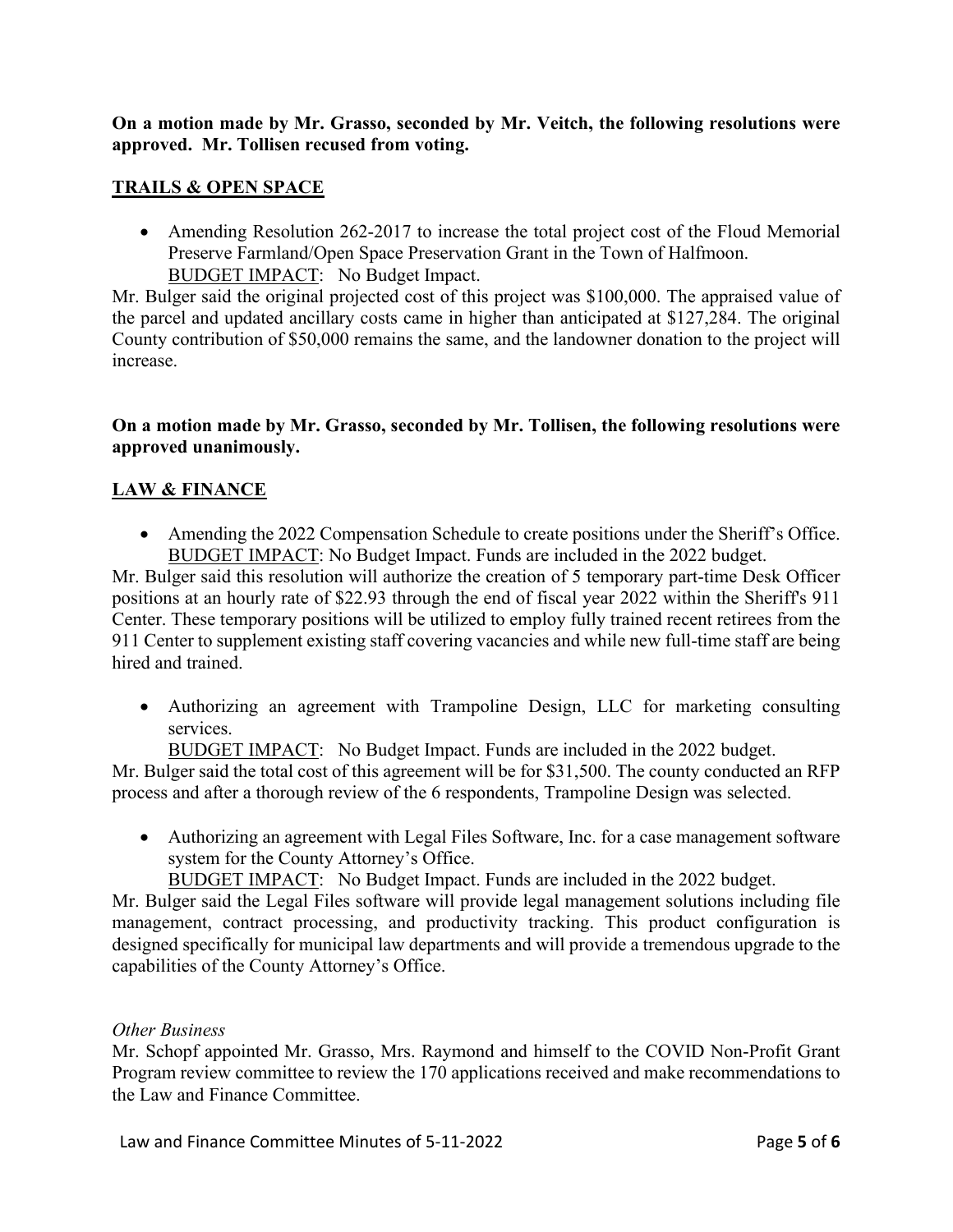#### **On a motion made by Mr. Grasso, seconded by Mr. Veitch, the following resolutions were approved. Mr. Tollisen recused from voting.**

### **TRAILS & OPEN SPACE**

• Amending Resolution 262-2017 to increase the total project cost of the Floud Memorial Preserve Farmland/Open Space Preservation Grant in the Town of Halfmoon. BUDGET IMPACT: No Budget Impact.

Mr. Bulger said the original projected cost of this project was \$100,000. The appraised value of the parcel and updated ancillary costs came in higher than anticipated at \$127,284. The original County contribution of \$50,000 remains the same, and the landowner donation to the project will increase.

#### **On a motion made by Mr. Grasso, seconded by Mr. Tollisen, the following resolutions were approved unanimously.**

### **LAW & FINANCE**

• Amending the 2022 Compensation Schedule to create positions under the Sheriff's Office. BUDGET IMPACT: No Budget Impact. Funds are included in the 2022 budget.

Mr. Bulger said this resolution will authorize the creation of 5 temporary part-time Desk Officer positions at an hourly rate of \$22.93 through the end of fiscal year 2022 within the Sheriff's 911 Center. These temporary positions will be utilized to employ fully trained recent retirees from the 911 Center to supplement existing staff covering vacancies and while new full-time staff are being hired and trained.

• Authorizing an agreement with Trampoline Design, LLC for marketing consulting services.

BUDGET IMPACT: No Budget Impact. Funds are included in the 2022 budget.

Mr. Bulger said the total cost of this agreement will be for \$31,500. The county conducted an RFP process and after a thorough review of the 6 respondents, Trampoline Design was selected.

• Authorizing an agreement with Legal Files Software, Inc. for a case management software system for the County Attorney's Office.

BUDGET IMPACT: No Budget Impact. Funds are included in the 2022 budget.

Mr. Bulger said the Legal Files software will provide legal management solutions including file management, contract processing, and productivity tracking. This product configuration is designed specifically for municipal law departments and will provide a tremendous upgrade to the capabilities of the County Attorney's Office.

#### *Other Business*

Mr. Schopf appointed Mr. Grasso, Mrs. Raymond and himself to the COVID Non-Profit Grant Program review committee to review the 170 applications received and make recommendations to the Law and Finance Committee.